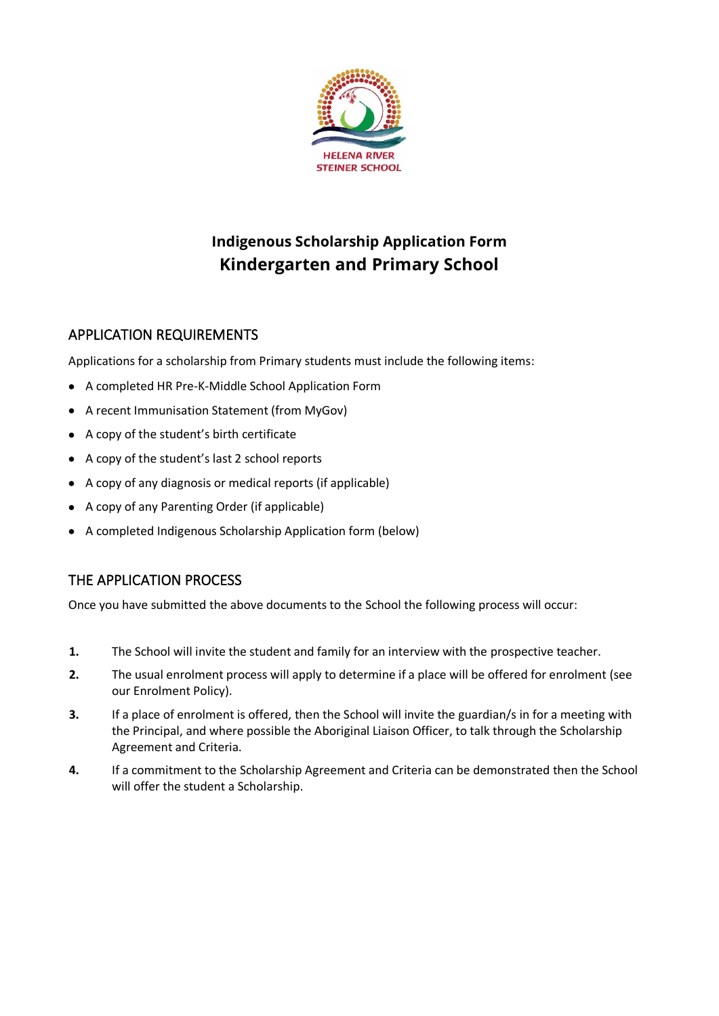

## **Indigenous Scholarship Application Form Kindergarten and Primary School**

## APPLICATION REQUIREMENTS

Applications for a scholarship from Primary students must include the following items:

- A completed HR Pre-K-Middle School Application Form
- A recent Immunisation Statement (from MyGov)
- A copy of the student's birth certificate
- A copy of the student's last 2 school reports
- A copy of any diagnosis or medical reports (if applicable)
- A copy of any Parenting Order (if applicable)
- A completed Indigenous Scholarship Application form (below)

## THE APPLICATION PROCESS

Once you have submitted the above documents to the School the following process will occur:

- **1.** The School will invite the student and family for an interview with the prospective teacher.
- **2.** The usual enrolment process will apply to determine if a place will be offered for enrolment (see our Enrolment Policy).
- **3.** If a place of enrolment is offered, then the School will invite the guardian/s in for a meeting with the Principal, and where possible the Aboriginal Liaison Officer, to talk through the Scholarship Agreement and Criteria.
- **4.** If a commitment to the Scholarship Agreement and Criteria can be demonstrated then the School will offer the student a Scholarship.